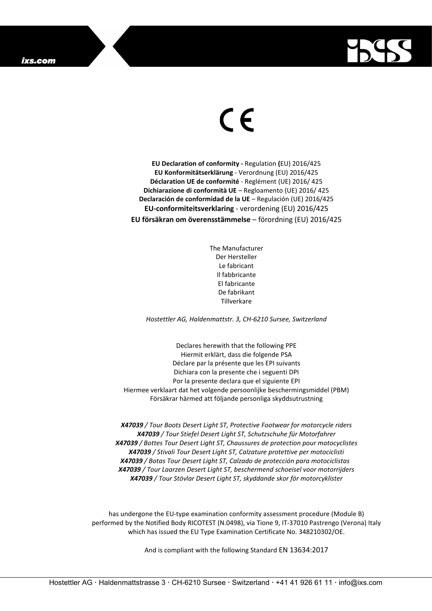

## $\epsilon$

**EU Declaration of conformity -** Regulation **(**EU) 2016/425 **EU Konformitätserklärung** - Verordnung (EU) 2016/425 **Déclaration UE de conformité** - Reglément (UE) 2016/ 425 **Dichiarazione di conformità UE** – Regloamento (UE) 2016/ 425 **Declaración de conformidad de la UE** – Regulación (UE) 2016/425 **EU-conformiteitsverklaring** - verordening (EU) 2016/425 **EU försäkran om överensstämmelse** – förordning (EU) 2016/425

> The Manufacturer Der Hersteller Le fabricant Il fabbricante El fabricante De fabrikant **Tillverkare**

*Hostettler AG, Haldenmattstr. 3, CH-6210 Sursee, Switzerland*

Declares herewith that the following PPE Hiermit erklärt, dass die folgende PSA Déclare par la présente que les EPI suivants Dichiara con la presente che i seguenti DPI Por la presente declara que el siguiente EPI Hiermee verklaart dat het volgende persoonlijke beschermingsmiddel (PBM) Försäkrar härmed att följande personliga skyddsutrustning

*X47039 / Tour Boots Desert Light ST, Protective Footwear for motorcycle riders X47039 / Tour Stiefel Desert Light ST, Schutzschuhe für Motorfahrer X47039 / Bottes Tour Desert Light ST, Chaussures de protection pour motocyclistes X47039 / Stivali Tour Desert Light ST, Calzature protettive per motociclisti X47039 / Botas Tour Desert Light ST, Calzado de protección para motociclistas X47039 / Tour Laarzen Desert Light ST, beschermend schoeisel voor motorrijders X47039 / Tour Stövlar Desert Light ST, skyddande skor för motorcyklister*

has undergone the EU-type examination conformity assessment procedure (Module B) performed by the Notified Body RICOTEST (N.0498), via Tione 9, IT-37010 Pastrengo (Verona) Italy which has issued the EU Type Examination Certificate No. 348210302/OE.

And is compliant with the following Standard EN 13634:2017